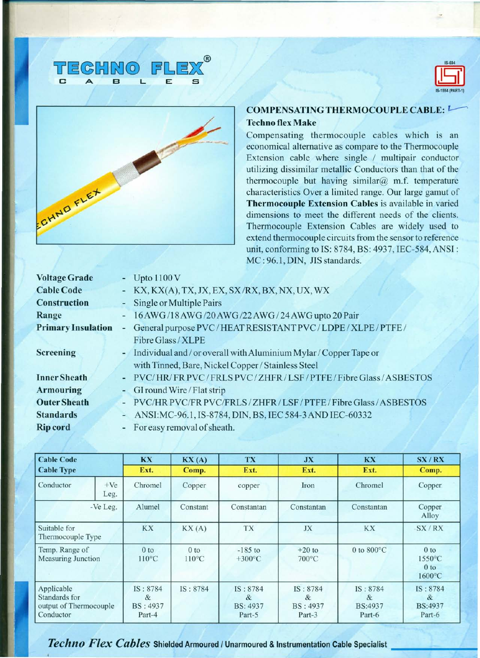





## COMPENSATING THERMOCOUPLE CABLE: Techno flex Make

Compensating thermocouple cables which is an economical alternative as compare to the Thermocouple Extension cable where single *I* multipair conductor utilizing dissimilar metallic Conductors than that of the thermocouple but having similar $@$  m.f. temperature characteristics Over a limited range. Our large gamut of Thermocouple Extension Cables is available in varied dimensions to meet the different needs of the clients. Thermocouple Extension Cables are widely used to extend thermocouple circuits from the sensor to reference unit, conforming to IS: 8784, BS: 4937, IEC-584,ANSI: MC : 96.1, DIN, JIS standards.

| <b>Voltage Grade</b>                | - Upto $1100V$                                                      |
|-------------------------------------|---------------------------------------------------------------------|
| <b>Cable Code</b>                   | - KX, KX(A), TX, JX, EX, SX/RX, BX, NX, UX, WX                      |
| <b>Construction</b>                 | - Single or Multiple Pairs                                          |
| Range                               | 16 AWG/18 AWG/20 AWG/22 AWG/24 AWG upto 20 Pair                     |
| <b>Primary Insulation</b><br>$\sim$ | General purpose PVC/HEAT RESISTANT PVC/LDPE/XLPE/PTFE/              |
|                                     | <b>Fibre Glass / XLPE</b>                                           |
| <b>Screening</b>                    | - Individual and / or overall with Aluminium Mylar / Copper Tape or |
|                                     | with Tinned, Bare, Nickel Copper / Stainless Steel                  |
| <b>Inner Sheath</b>                 | PVC/HR/FR PVC/FRLS PVC/ZHFR/LSF/PTFE/Fibre Glass/ASBESTOS           |
| <b>Armouring</b>                    | - GI round Wire / Flat strip                                        |
| <b>Outer Sheath</b>                 | PVC/HR PVC/FR PVC/FRLS/ZHFR/LSF/PTFE/Fibre Glass/ASBESTOS           |
| <b>Standards</b><br>$\overline{a}$  | ANSI: MC-96.1, IS-8784, DIN, BS, IEC 584-3 AND IEC-60332            |
| <b>Rip cord</b>                     | For easy removal of sheath.                                         |

| <b>Cable Code</b><br><b>Cable Type</b>                             |               | <b>KX</b>                                  | $\mathbf{KX}$ (A)                  | TX                                         | JX                                         | <b>KX</b>                          | SX/RX                                                                      |
|--------------------------------------------------------------------|---------------|--------------------------------------------|------------------------------------|--------------------------------------------|--------------------------------------------|------------------------------------|----------------------------------------------------------------------------|
|                                                                    |               | Ext.                                       | Comp.                              | Ext.                                       | Ext.                                       | Ext.                               | Comp.                                                                      |
| Conductor                                                          | $+Ve$<br>Leg. | Chromel                                    | Copper                             | copper                                     | Iron                                       | Chromel                            | Copper.                                                                    |
| -Ve Leg.                                                           |               | Alumel                                     | Constant                           | Constantan                                 | Constantan                                 | Constantan                         | Copper<br>Alloy                                                            |
| Suitable for<br>Thermocouple Type                                  |               | <b>KX</b>                                  | $\,$ KX $\,$ (A)                   | TX                                         | JX                                         | KX                                 | SX/RX                                                                      |
| Temp. Range of<br><b>Measuring Junction</b>                        |               | 0 <sub>to</sub><br>$110^{\circ}$ C         | 0 <sub>to</sub><br>$110^{\circ}$ C | $-185$ to<br>$+300^{\circ}$ C              | $+20$ to<br>$700\textdegree C$             | 0 to $800^{\circ}$ C               | 0 <sub>to</sub><br>$1550^{\circ}$ C<br>0 <sub>to</sub><br>$1600^{\circ}$ C |
| Applicable<br>Standards for<br>output of Thermocouple<br>Conductor |               | IS: 8784<br>&<br><b>BS: 4937</b><br>Part-4 | IS: 8784                           | IS: 8784<br>&<br><b>BS: 4937</b><br>Part-5 | IS: 8784<br>&<br><b>BS: 4937</b><br>Part-3 | IS: 8784<br>&<br>BS:4937<br>Part-6 | IS: 8784<br>&<br><b>BS:4937</b><br>Part-6                                  |

*Techno Flex Cables* Shielded Armoured *<sup>I</sup>* Unarmoured & Instrumentation Cable Specialist \_